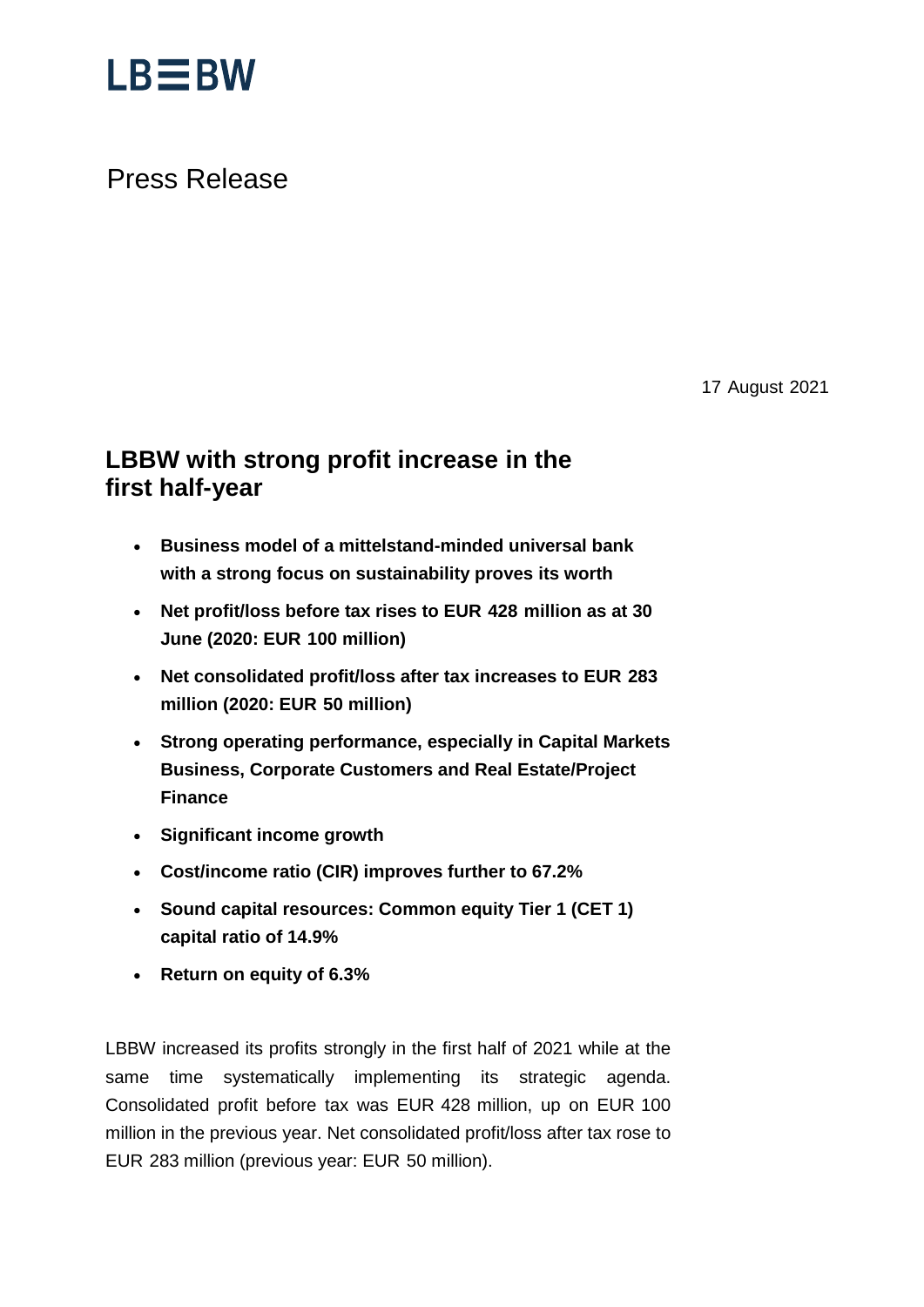

## Press Release

17 August 2021

## **LBBW with strong profit increase in the first half-year**

- · **Business model of a mittelstand-minded universal bank with a strong focus on sustainability proves its worth**
- · **Net profit/loss before tax rises to EUR 428 million as at 30 June (2020: EUR 100 million)**
- · **Net consolidated profit/loss after tax increases to EUR 283 million (2020: EUR 50 million)**
- · **Strong operating performance, especially in Capital Markets Business, Corporate Customers and Real Estate/Project Finance**
- · **Significant income growth**
- · **Cost/income ratio (CIR) improves further to 67.2%**
- · **Sound capital resources: Common equity Tier 1 (CET 1) capital ratio of 14.9%**
- · **Return on equity of 6.3%**

LBBW increased its profits strongly in the first half of 2021 while at the same time systematically implementing its strategic agenda. Consolidated profit before tax was EUR 428 million, up on EUR 100 million in the previous year. Net consolidated profit/loss after tax rose to EUR 283 million (previous year: EUR 50 million).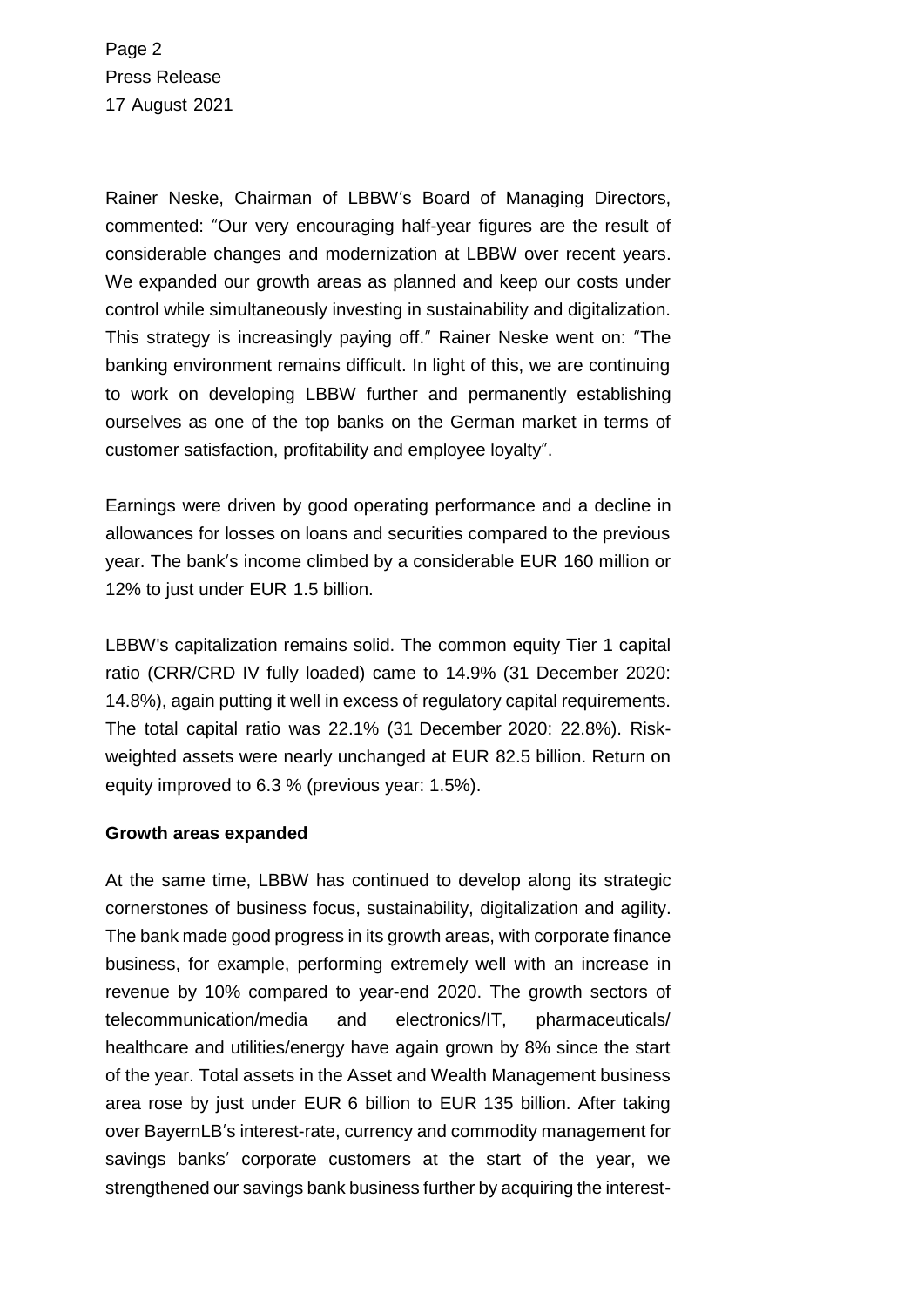Page 2 Press Release 17 August 2021

Rainer Neske, Chairman of LBBW's Board of Managing Directors, commented: "Our very encouraging half-year figures are the result of considerable changes and modernization at LBBW over recent years. We expanded our growth areas as planned and keep our costs under control while simultaneously investing in sustainability and digitalization. This strategy is increasingly paying off." Rainer Neske went on: "The banking environment remains difficult. In light of this, we are continuing to work on developing LBBW further and permanently establishing ourselves as one of the top banks on the German market in terms of customer satisfaction, profitability and employee loyalty".

Earnings were driven by good operating performance and a decline in allowances for losses on loans and securities compared to the previous year. The bank's income climbed by a considerable EUR 160 million or 12% to just under EUR 1.5 billion.

LBBW's capitalization remains solid. The common equity Tier 1 capital ratio (CRR/CRD IV fully loaded) came to 14.9% (31 December 2020: 14.8%), again putting it well in excess of regulatory capital requirements. The total capital ratio was 22.1% (31 December 2020: 22.8%). Riskweighted assets were nearly unchanged at EUR 82.5 billion. Return on equity improved to 6.3 % (previous year: 1.5%).

#### **Growth areas expanded**

At the same time, LBBW has continued to develop along its strategic cornerstones of business focus, sustainability, digitalization and agility. The bank made good progress in its growth areas, with corporate finance business, for example, performing extremely well with an increase in revenue by 10% compared to year-end 2020. The growth sectors of telecommunication/media and electronics/IT, pharmaceuticals/ healthcare and utilities/energy have again grown by 8% since the start of the year. Total assets in the Asset and Wealth Management business area rose by just under EUR 6 billion to EUR 135 billion. After taking over BayernLB's interest-rate, currency and commodity management for savings banks' corporate customers at the start of the year, we strengthened our savings bank business further by acquiring the interest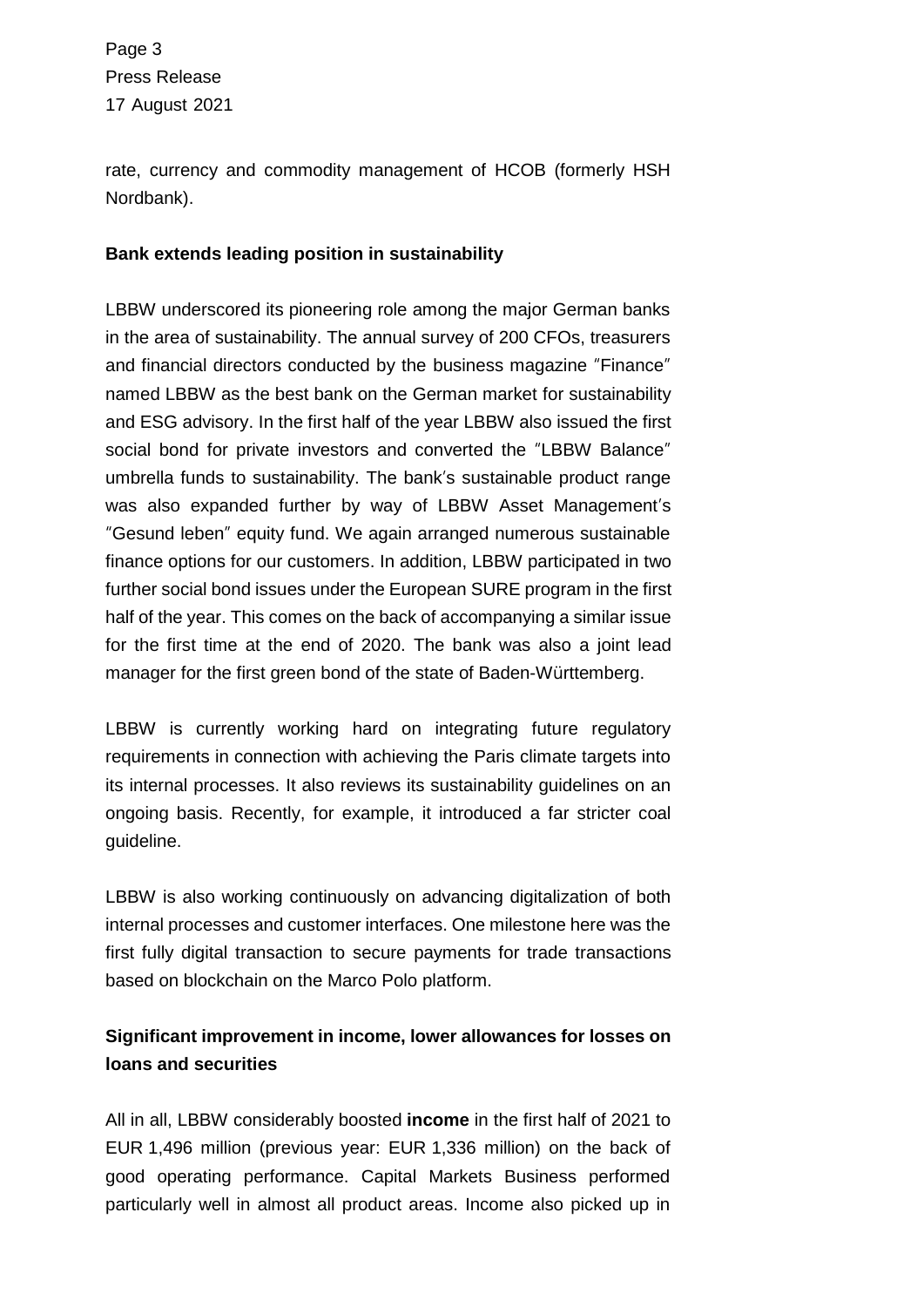Page 3 Press Release 17 August 2021

rate, currency and commodity management of HCOB (formerly HSH Nordbank).

### **Bank extends leading position in sustainability**

LBBW underscored its pioneering role among the major German banks in the area of sustainability. The annual survey of 200 CFOs, treasurers and financial directors conducted by the business magazine "Finance" named LBBW as the best bank on the German market for sustainability and ESG advisory. In the first half of the year LBBW also issued the first social bond for private investors and converted the "LBBW Balance" umbrella funds to sustainability. The bank's sustainable product range was also expanded further by way of LBBW Asset Management's "Gesund leben" equity fund. We again arranged numerous sustainable finance options for our customers. In addition, LBBW participated in two further social bond issues under the European SURE program in the first half of the year. This comes on the back of accompanying a similar issue for the first time at the end of 2020. The bank was also a joint lead manager for the first green bond of the state of Baden-Württemberg.

LBBW is currently working hard on integrating future regulatory requirements in connection with achieving the Paris climate targets into its internal processes. It also reviews its sustainability guidelines on an ongoing basis. Recently, for example, it introduced a far stricter coal guideline.

LBBW is also working continuously on advancing digitalization of both internal processes and customer interfaces. One milestone here was the first fully digital transaction to secure payments for trade transactions based on blockchain on the Marco Polo platform.

## **Significant improvement in income, lower allowances for losses on loans and securities**

All in all, LBBW considerably boosted **income** in the first half of 2021 to EUR 1,496 million (previous year: EUR 1,336 million) on the back of good operating performance. Capital Markets Business performed particularly well in almost all product areas. Income also picked up in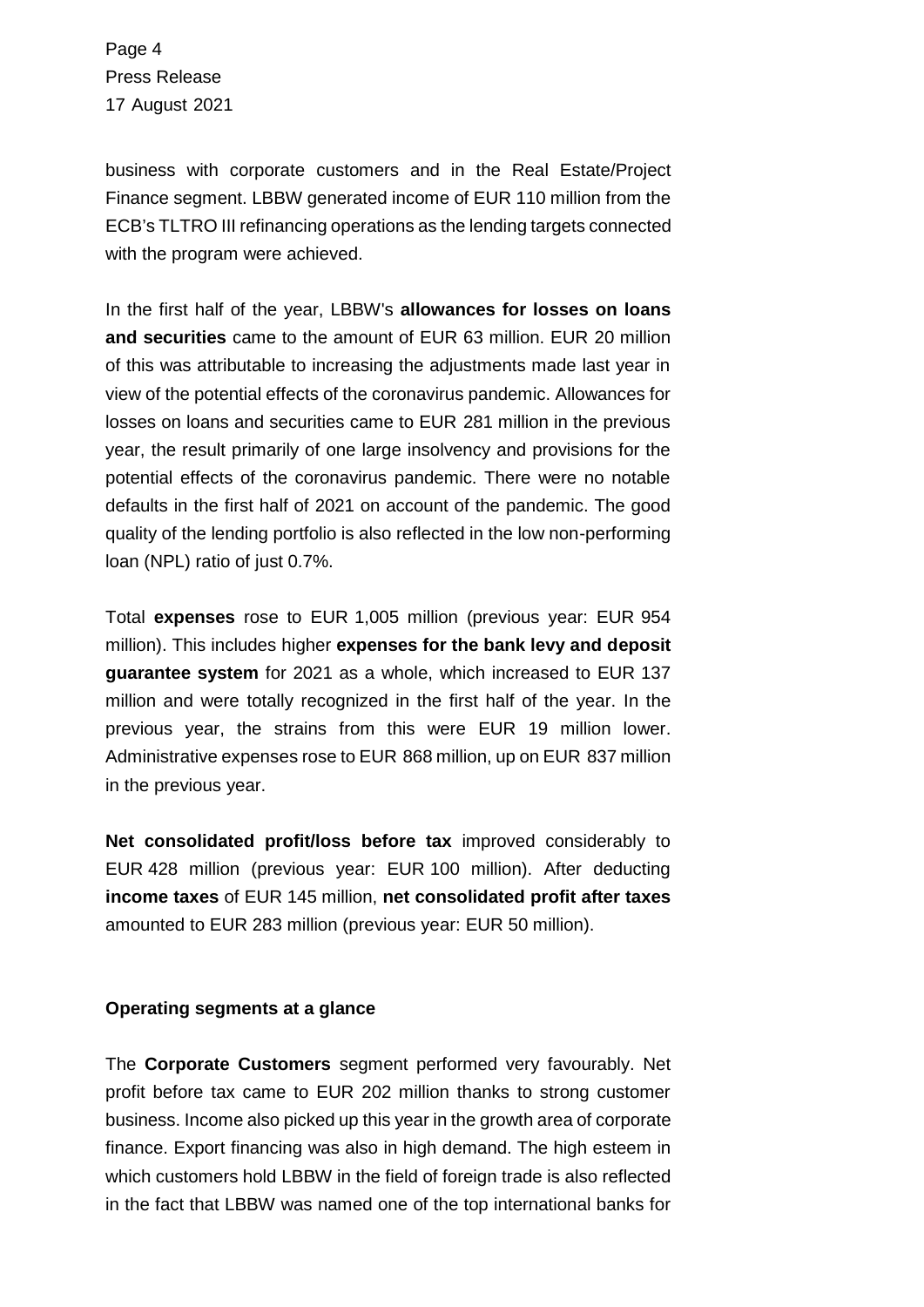Page 4 Press Release 17 August 2021

business with corporate customers and in the Real Estate/Project Finance segment. LBBW generated income of EUR 110 million from the ECB's TLTRO III refinancing operations as the lending targets connected with the program were achieved.

In the first half of the year, LBBW's **allowances for losses on loans and securities** came to the amount of EUR 63 million. EUR 20 million of this was attributable to increasing the adjustments made last year in view of the potential effects of the coronavirus pandemic. Allowances for losses on loans and securities came to EUR 281 million in the previous year, the result primarily of one large insolvency and provisions for the potential effects of the coronavirus pandemic. There were no notable defaults in the first half of 2021 on account of the pandemic. The good quality of the lending portfolio is also reflected in the low non-performing loan (NPL) ratio of just 0.7%.

Total **expenses** rose to EUR 1,005 million (previous year: EUR 954 million). This includes higher **expenses for the bank levy and deposit guarantee system** for 2021 as a whole, which increased to EUR 137 million and were totally recognized in the first half of the year. In the previous year, the strains from this were EUR 19 million lower. Administrative expenses rose to EUR 868 million, up on EUR 837 million in the previous year.

**Net consolidated profit/loss before tax** improved considerably to EUR 428 million (previous year: EUR 100 million). After deducting **income taxes** of EUR 145 million, **net consolidated profit after taxes** amounted to EUR 283 million (previous year: EUR 50 million).

#### **Operating segments at a glance**

The **Corporate Customers** segment performed very favourably. Net profit before tax came to EUR 202 million thanks to strong customer business. Income also picked up this year in the growth area of corporate finance. Export financing was also in high demand. The high esteem in which customers hold LBBW in the field of foreign trade is also reflected in the fact that LBBW was named one of the top international banks for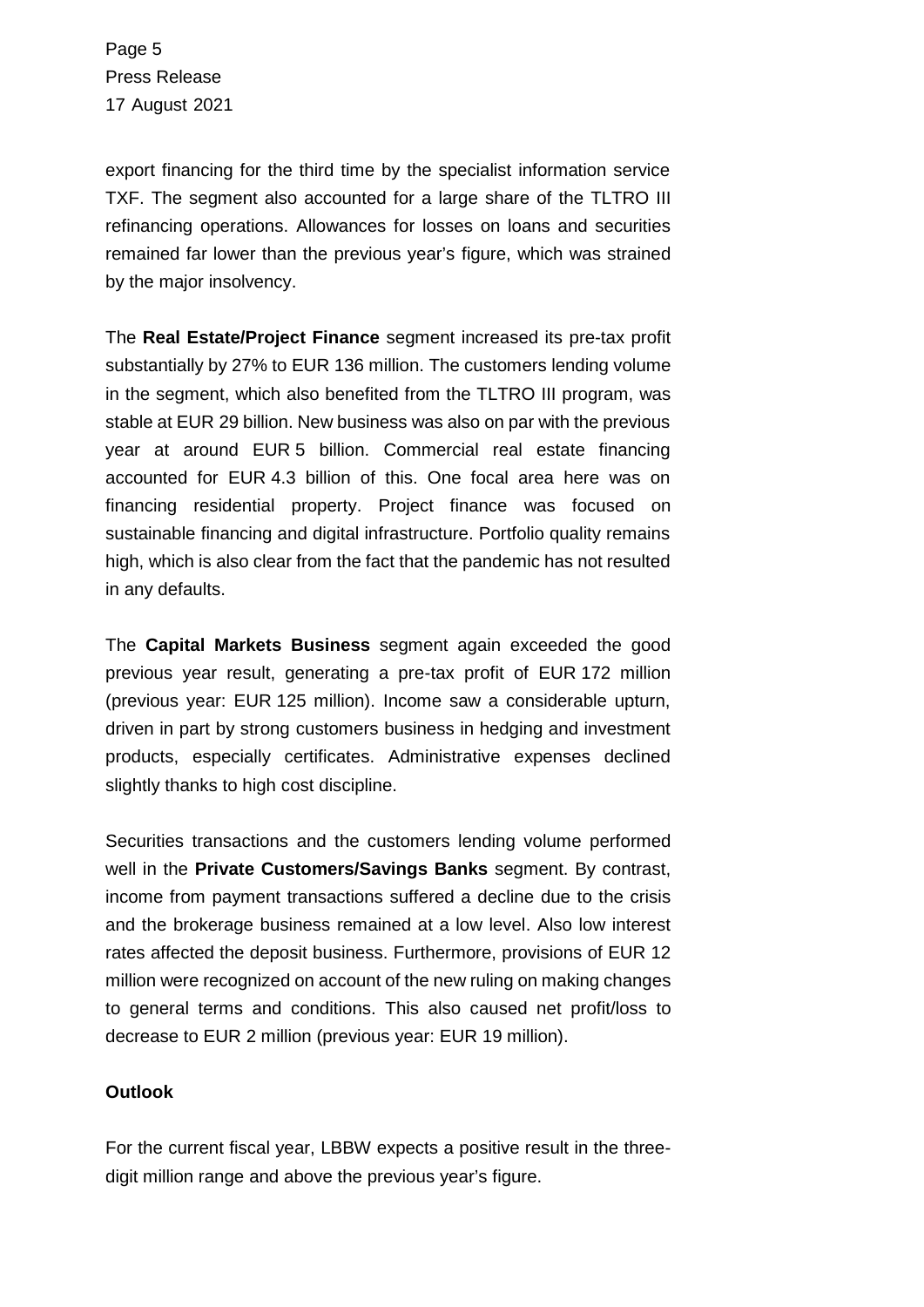Page 5 Press Release 17 August 2021

export financing for the third time by the specialist information service TXF. The segment also accounted for a large share of the TLTRO III refinancing operations. Allowances for losses on loans and securities remained far lower than the previous year's figure, which was strained by the major insolvency.

The **Real Estate/Project Finance** segment increased its pre-tax profit substantially by 27% to EUR 136 million. The customers lending volume in the segment, which also benefited from the TLTRO III program, was stable at EUR 29 billion. New business was also on par with the previous year at around EUR 5 billion. Commercial real estate financing accounted for EUR 4.3 billion of this. One focal area here was on financing residential property. Project finance was focused on sustainable financing and digital infrastructure. Portfolio quality remains high, which is also clear from the fact that the pandemic has not resulted in any defaults.

The **Capital Markets Business** segment again exceeded the good previous year result, generating a pre-tax profit of EUR 172 million (previous year: EUR 125 million). Income saw a considerable upturn, driven in part by strong customers business in hedging and investment products, especially certificates. Administrative expenses declined slightly thanks to high cost discipline.

Securities transactions and the customers lending volume performed well in the **Private Customers/Savings Banks** segment. By contrast, income from payment transactions suffered a decline due to the crisis and the brokerage business remained at a low level. Also low interest rates affected the deposit business. Furthermore, provisions of EUR 12 million were recognized on account of the new ruling on making changes to general terms and conditions. This also caused net profit/loss to decrease to EUR 2 million (previous year: EUR 19 million).

#### **Outlook**

For the current fiscal year, LBBW expects a positive result in the threedigit million range and above the previous year's figure.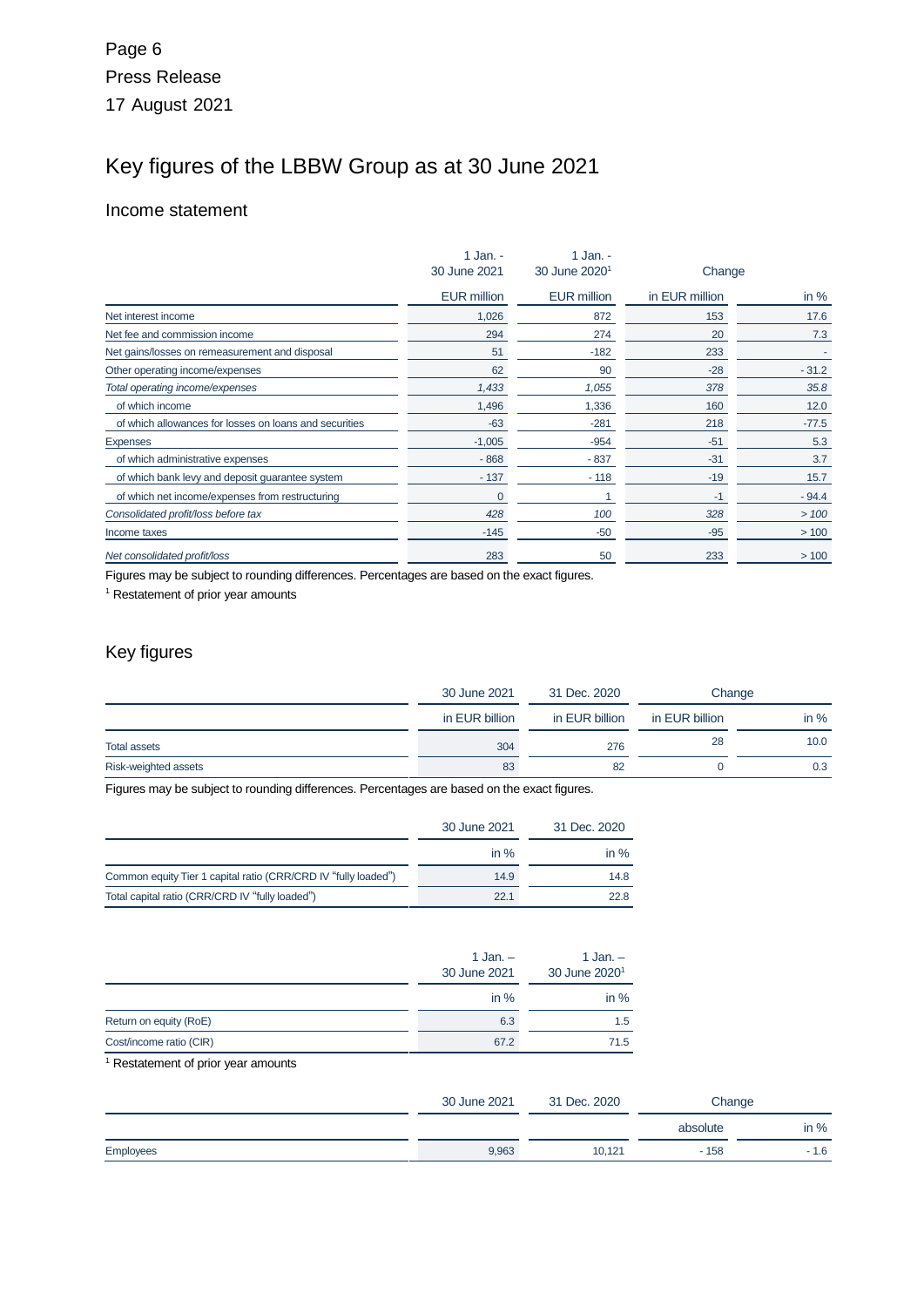# Key figures of the LBBW Group as at 30 June 2021

#### Income statement

|                                                        | 1 Jan. -           | 1 Jan. -                  |                |         |
|--------------------------------------------------------|--------------------|---------------------------|----------------|---------|
|                                                        | 30 June 2021       | 30 June 2020 <sup>1</sup> | Change         |         |
|                                                        | <b>EUR million</b> | <b>EUR million</b>        | in EUR million | in $%$  |
| Net interest income                                    | 1,026              | 872                       | 153            | 17.6    |
| Net fee and commission income                          | 294                | 274                       | 20             | 7.3     |
| Net gains/losses on remeasurement and disposal         | 51                 | $-182$                    | 233            |         |
| Other operating income/expenses                        | 62                 | 90                        | $-28$          | $-31.2$ |
| Total operating income/expenses                        | 1,433              | 1,055                     | 378            | 35.8    |
| of which income                                        | 1,496              | 1,336                     | 160            | 12.0    |
| of which allowances for losses on loans and securities | $-63$              | $-281$                    | 218            | $-77.5$ |
| <b>Expenses</b>                                        | $-1,005$           | $-954$                    | $-51$          | 5.3     |
| of which administrative expenses                       | $-868$             | $-837$                    | $-31$          | 3.7     |
| of which bank levy and deposit guarantee system        | $-137$             | $-118$                    | $-19$          | 15.7    |
| of which net income/expenses from restructuring        | $\overline{0}$     |                           | -1             | $-94.4$ |
| Consolidated profit/loss before tax                    | 428                | 100                       | 328            | >100    |
| Income taxes                                           | $-145$             | $-50$                     | $-95$          | >100    |
| Net consolidated profit/loss                           | 283                | 50                        | 233            | >100    |

Figures may be subject to rounding differences. Percentages are based on the exact figures.

<sup>1</sup> Restatement of prior year amounts

### Key figures

|                      | 30 June 2021   | 31 Dec. 2020   | Change         |        |
|----------------------|----------------|----------------|----------------|--------|
|                      | in EUR billion | in EUR billion | in EUR billion | in $%$ |
| <b>Total assets</b>  | 304            | 276            | 28             | 10.0   |
| Risk-weighted assets | 83             | 82             |                | 0.3    |

Figures may be subject to rounding differences. Percentages are based on the exact figures.

|                                                                | 30 June 2021 | 31 Dec. 2020 |
|----------------------------------------------------------------|--------------|--------------|
|                                                                | in $%$       | in $%$       |
| Common equity Tier 1 capital ratio (CRR/CRD IV "fully loaded") | 14.9         | 14.8         |
| Total capital ratio (CRR/CRD IV "fully loaded")                | 22.1         | 22.8         |

|                         | 1 Jan. $-$<br>30 June 2021 | 1 Jan. $-$<br>30 June 2020 <sup>1</sup> |  |
|-------------------------|----------------------------|-----------------------------------------|--|
|                         | in $%$                     | in $%$                                  |  |
| Return on equity (RoE)  | 6.3                        | 1.5                                     |  |
| Cost/income ratio (CIR) | 67.2                       | 71.5                                    |  |

<sup>1</sup> Restatement of prior year amounts

|           | 30 June 2021 | 31 Dec. 2020 | Change   |        |
|-----------|--------------|--------------|----------|--------|
|           |              |              | absolute | in $%$ |
| Employees | 9,963        | 10,121       | $-158$   | $-1.6$ |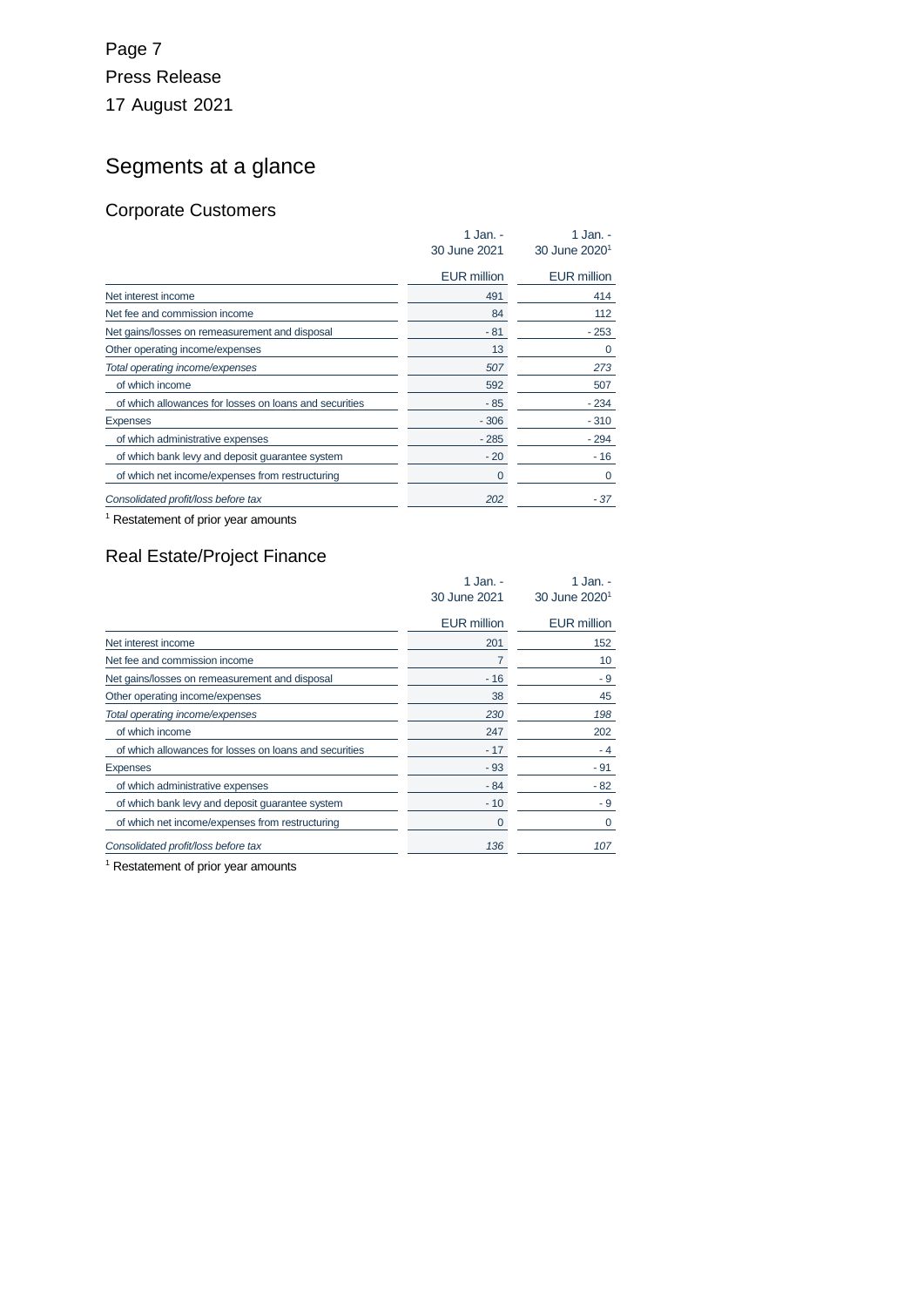## Page 7 Press Release 17 August 2021

# Segments at a glance

### Corporate Customers

|                                                        | 1 Jan. -<br>30 June 2021 | 1 Jan. -<br>30 June 2020 <sup>1</sup> |
|--------------------------------------------------------|--------------------------|---------------------------------------|
|                                                        | <b>EUR million</b>       | <b>EUR</b> million                    |
| Net interest income                                    | 491                      | 414                                   |
| Net fee and commission income                          | 84                       | 112                                   |
| Net gains/losses on remeasurement and disposal         | $-81$                    | $-253$                                |
| Other operating income/expenses                        | 13                       | 0                                     |
| Total operating income/expenses                        | 507                      | 273                                   |
| of which income                                        | 592                      | 507                                   |
| of which allowances for losses on loans and securities | - 85                     | $-234$                                |
| <b>Expenses</b>                                        | $-306$                   | $-310$                                |
| of which administrative expenses                       | $-285$                   | - 294                                 |
| of which bank levy and deposit guarantee system        | $-20$                    | $-16$                                 |
| of which net income/expenses from restructuring        | 0                        | 0                                     |
| Consolidated profit/loss before tax                    | 202                      | - 37                                  |

<sup>1</sup> Restatement of prior year amounts

### Real Estate/Project Finance

|                                                        | 1 Jan. -<br>30 June 2021 | 1 Jan. -<br>30 June 2020 <sup>1</sup> |
|--------------------------------------------------------|--------------------------|---------------------------------------|
|                                                        | <b>EUR million</b>       | <b>EUR million</b>                    |
| Net interest income                                    | 201                      | 152                                   |
| Net fee and commission income                          | 7                        | 10                                    |
| Net gains/losses on remeasurement and disposal         | $-16$                    | - 9                                   |
| Other operating income/expenses                        | 38                       | 45                                    |
| Total operating income/expenses                        | 230                      | 198                                   |
| of which income                                        | 247                      | 202                                   |
| of which allowances for losses on loans and securities | $-17$                    | - 4                                   |
| <b>Expenses</b>                                        | $-93$                    | - 91                                  |
| of which administrative expenses                       | - 84                     | $-82$                                 |
| of which bank levy and deposit quarantee system        | $-10$                    | - 9                                   |
| of which net income/expenses from restructuring        | 0                        | 0                                     |
| Consolidated profit/loss before tax                    | 136                      | 107                                   |
|                                                        |                          |                                       |

<sup>1</sup> Restatement of prior year amounts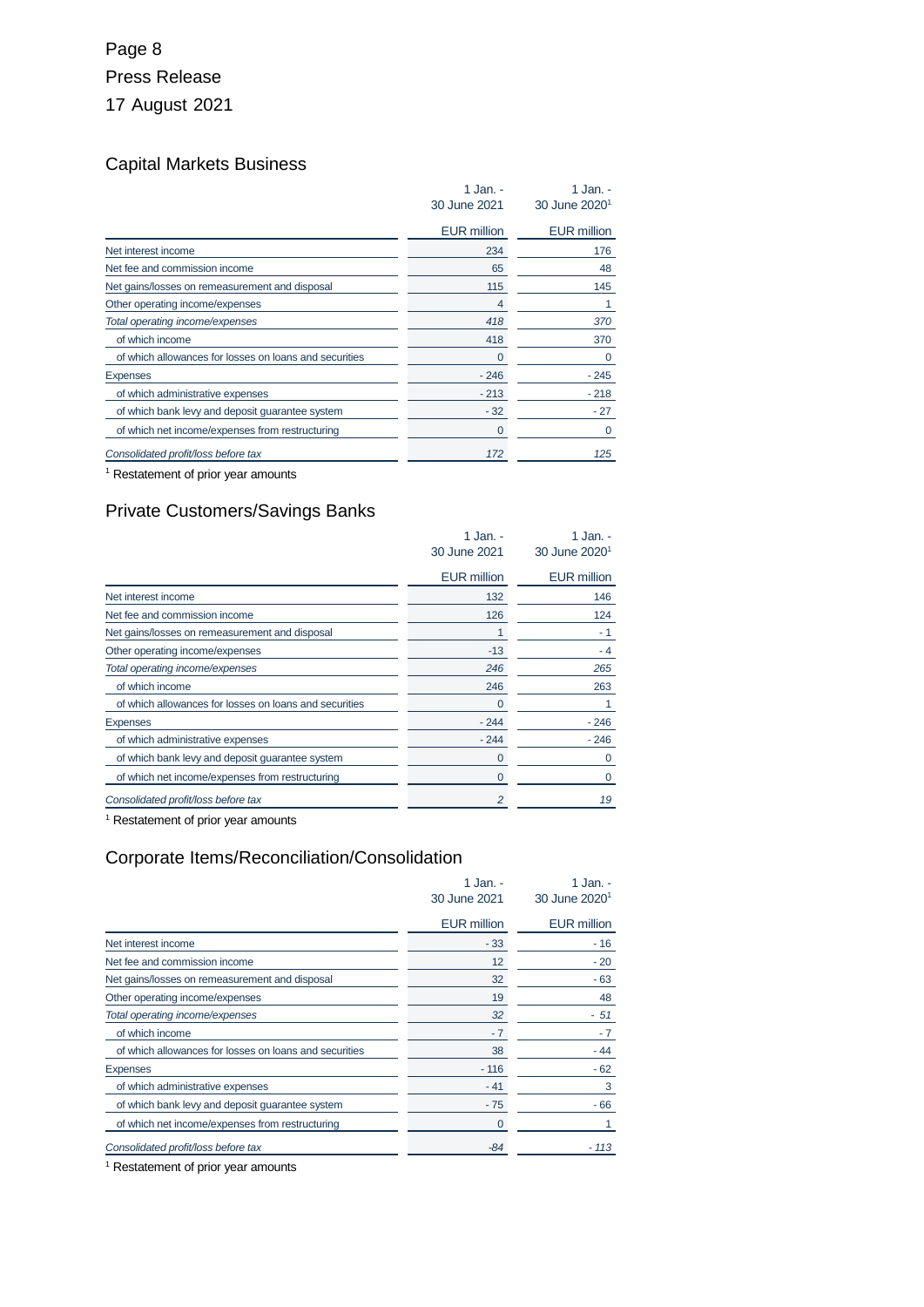## Page 8 Press Release 17 August 2021

## Capital Markets Business

|                                                        | 1 Jan. -<br>30 June 2021 | 1 Jan. -<br>30 June 2020 <sup>1</sup> |
|--------------------------------------------------------|--------------------------|---------------------------------------|
|                                                        | <b>EUR million</b>       | <b>EUR million</b>                    |
| Net interest income                                    | 234                      | 176                                   |
| Net fee and commission income                          | 65                       | 48                                    |
| Net gains/losses on remeasurement and disposal         | 115                      | 145                                   |
| Other operating income/expenses                        | 4                        | 1                                     |
| Total operating income/expenses                        | 418                      | 370                                   |
| of which income                                        | 418                      | 370                                   |
| of which allowances for losses on loans and securities | 0                        | 0                                     |
| <b>Expenses</b>                                        | $-246$                   | $-245$                                |
| of which administrative expenses                       | $-213$                   | $-218$                                |
| of which bank levy and deposit guarantee system        | $-32$                    | $-27$                                 |
| of which net income/expenses from restructuring        | 0                        | 0                                     |
| Consolidated profit/loss before tax                    | 172                      | 125                                   |

<sup>1</sup> Restatement of prior year amounts

### Private Customers/Savings Banks

|                                                        | 1 Jan. -<br>30 June 2021 | 1 Jan. -<br>30 June 2020 <sup>1</sup> |
|--------------------------------------------------------|--------------------------|---------------------------------------|
|                                                        | <b>EUR million</b>       | <b>EUR million</b>                    |
| Net interest income                                    | 132                      | 146                                   |
| Net fee and commission income                          | 126                      | 124                                   |
| Net gains/losses on remeasurement and disposal         |                          | - 1                                   |
| Other operating income/expenses                        | $-13$                    | - 4                                   |
| Total operating income/expenses                        | 246                      | 265                                   |
| of which income                                        | 246                      | 263                                   |
| of which allowances for losses on loans and securities |                          |                                       |
| <b>Expenses</b>                                        | $-244$                   | $-246$                                |
| of which administrative expenses                       | $-244$                   | $-246$                                |
| of which bank levy and deposit guarantee system        |                          | 0                                     |
| of which net income/expenses from restructuring        | $\Omega$                 | $\Omega$                              |
| Consolidated profit/loss before tax                    | 2                        | 19                                    |

<sup>1</sup> Restatement of prior year amounts

### Corporate Items/Reconciliation/Consolidation

|                                                        | 1 Jan. -<br>30 June 2021 | 1 Jan. -<br>30 June 2020 <sup>1</sup> |
|--------------------------------------------------------|--------------------------|---------------------------------------|
|                                                        | <b>EUR million</b>       | <b>EUR million</b>                    |
| Net interest income                                    | $-33$                    | - 16                                  |
| Net fee and commission income                          | 12                       | - 20                                  |
| Net gains/losses on remeasurement and disposal         | 32                       | $-63$                                 |
| Other operating income/expenses                        | 19                       | 48                                    |
| Total operating income/expenses                        | 32                       | - 51                                  |
| of which income                                        | $-7$                     | $-7$                                  |
| of which allowances for losses on loans and securities | 38                       | - 44                                  |
| <b>Expenses</b>                                        | $-116$                   | $-62$                                 |
| of which administrative expenses                       | $-41$                    | 3                                     |
| of which bank levy and deposit quarantee system        | $-75$                    | - 66                                  |
| of which net income/expenses from restructuring        | 0                        |                                       |
| Consolidated profit/loss before tax                    | $-84$                    | $-113$                                |

<sup>1</sup> Restatement of prior year amounts